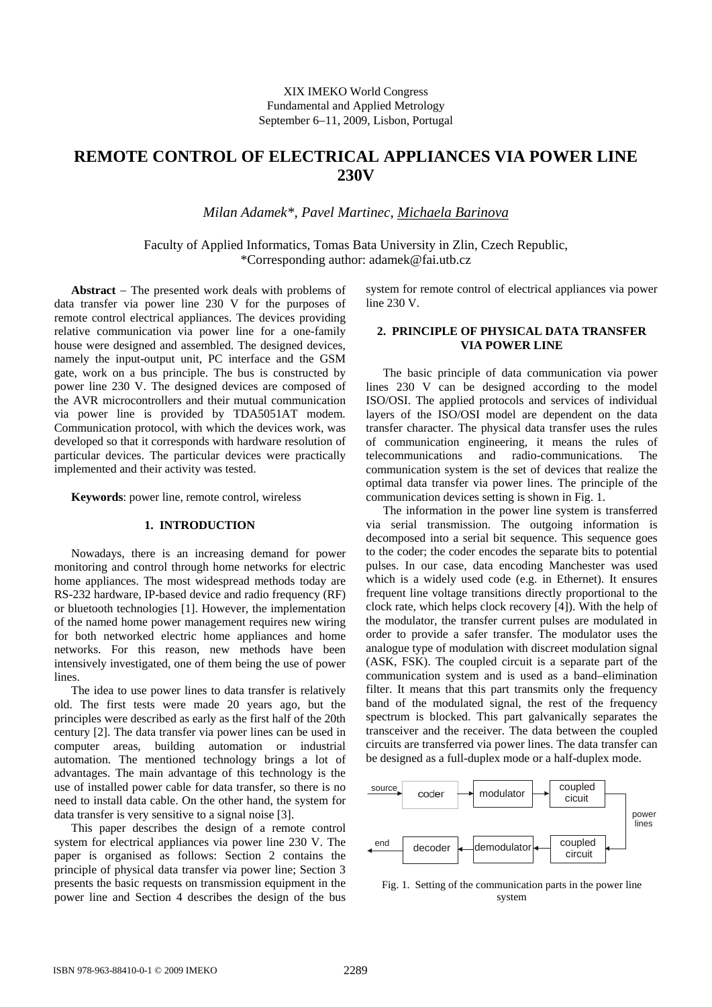# **REMOTE CONTROL OF ELECTRICAL APPLIANCES VIA POWER LINE 230V**

*Milan Adamek\**, *Pavel Martinec*, *Michaela Barinova* 

Faculty of Applied Informatics, Tomas Bata University in Zlin, Czech Republic, \*Corresponding author: adamek@fai.utb.cz

**Abstract** − The presented work deals with problems of data transfer via power line 230 V for the purposes of remote control electrical appliances. The devices providing relative communication via power line for a one-family house were designed and assembled. The designed devices, namely the input-output unit, PC interface and the GSM gate, work on a bus principle. The bus is constructed by power line 230 V. The designed devices are composed of the AVR microcontrollers and their mutual communication via power line is provided by TDA5051AT modem. Communication protocol, with which the devices work, was developed so that it corresponds with hardware resolution of particular devices. The particular devices were practically implemented and their activity was tested.

**Keywords**: power line, remote control, wireless

### **1. INTRODUCTION**

Nowadays, there is an increasing demand for power monitoring and control through home networks for electric home appliances. The most widespread methods today are RS-232 hardware, IP-based device and radio frequency (RF) or bluetooth technologies [1]. However, the implementation of the named home power management requires new wiring for both networked electric home appliances and home networks. For this reason, new methods have been intensively investigated, one of them being the use of power lines.

The idea to use power lines to data transfer is relatively old. The first tests were made 20 years ago, but the principles were described as early as the first half of the 20th century [2]. The data transfer via power lines can be used in computer areas, building automation or industrial automation. The mentioned technology brings a lot of advantages. The main advantage of this technology is the use of installed power cable for data transfer, so there is no need to install data cable. On the other hand, the system for data transfer is very sensitive to a signal noise [3].

This paper describes the design of a remote control system for electrical appliances via power line 230 V. The paper is organised as follows: Section 2 contains the principle of physical data transfer via power line; Section 3 presents the basic requests on transmission equipment in the power line and Section 4 describes the design of the bus

system for remote control of electrical appliances via power line 230 V.

### **2. PRINCIPLE OF PHYSICAL DATA TRANSFER VIA POWER LINE**

The basic principle of data communication via power lines 230 V can be designed according to the model ISO/OSI. The applied protocols and services of individual layers of the ISO/OSI model are dependent on the data transfer character. The physical data transfer uses the rules of communication engineering, it means the rules of telecommunications and radio-communications. The communication system is the set of devices that realize the optimal data transfer via power lines. The principle of the communication devices setting is shown in Fig. 1.

The information in the power line system is transferred via serial transmission. The outgoing information is decomposed into a serial bit sequence. This sequence goes to the coder; the coder encodes the separate bits to potential pulses. In our case, data encoding Manchester was used which is a widely used code (e.g. in Ethernet). It ensures frequent line voltage transitions directly proportional to the clock rate, which helps clock recovery [4]). With the help of the modulator, the transfer current pulses are modulated in order to provide a safer transfer. The modulator uses the analogue type of modulation with discreet modulation signal (ASK, FSK). The coupled circuit is a separate part of the communication system and is used as a band–elimination filter. It means that this part transmits only the frequency band of the modulated signal, the rest of the frequency spectrum is blocked. This part galvanically separates the transceiver and the receiver. The data between the coupled circuits are transferred via power lines. The data transfer can be designed as a full-duplex mode or a half-duplex mode.



Fig. 1. Setting of the communication parts in the power line system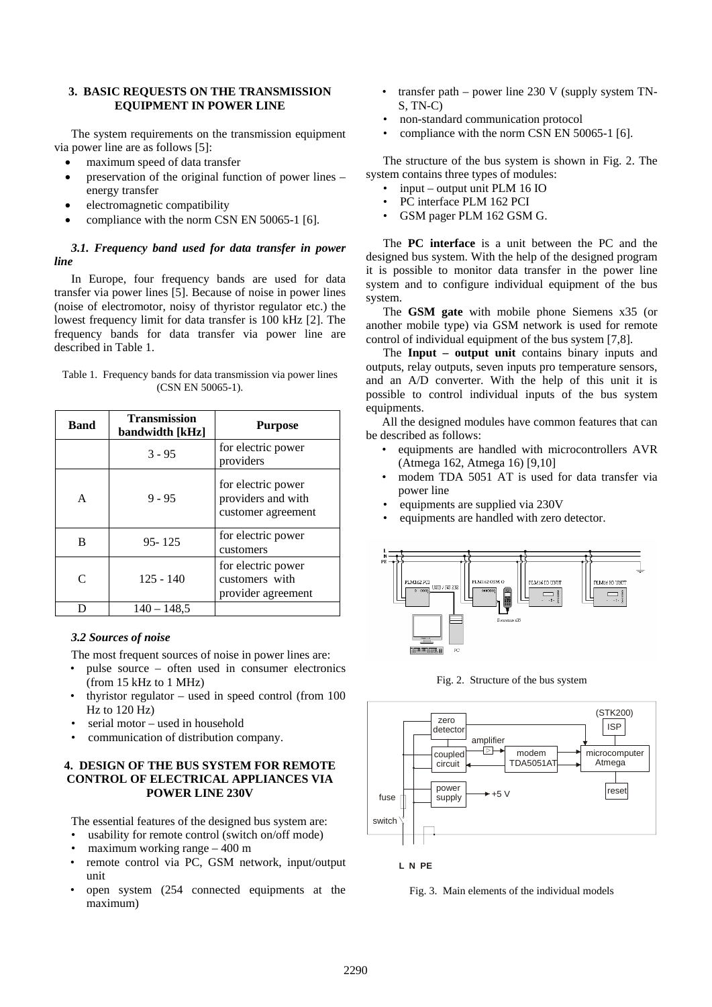## **3. BASIC REQUESTS ON THE TRANSMISSION EQUIPMENT IN POWER LINE**

The system requirements on the transmission equipment via power line are as follows [5]:

- maximum speed of data transfer
- preservation of the original function of power lines energy transfer
- electromagnetic compatibility
- compliance with the norm CSN EN 50065-1 [6].

# *3.1. Frequency band used for data transfer in power line*

In Europe, four frequency bands are used for data transfer via power lines [5]. Because of noise in power lines (noise of electromotor, noisy of thyristor regulator etc.) the lowest frequency limit for data transfer is 100 kHz [2]. The frequency bands for data transfer via power line are described in Table 1.

|                      | Table 1. Frequency bands for data transmission via power lines |  |
|----------------------|----------------------------------------------------------------|--|
| $(CSN EN 50065-1)$ . |                                                                |  |

| <b>Band</b>       | <b>Transmission</b><br>bandwidth [kHz] | <b>Purpose</b>                                                 |
|-------------------|----------------------------------------|----------------------------------------------------------------|
|                   | $3 - 95$                               | for electric power<br>providers                                |
| A                 | $9 - 95$                               | for electric power<br>providers and with<br>customer agreement |
| B                 | $95 - 125$                             | for electric power<br>customers                                |
| $\mathsf{\Gamma}$ | $125 - 140$                            | for electric power<br>customers with<br>provider agreement     |
|                   | $140 - 148.5$                          |                                                                |

### *3.2 Sources of noise*

The most frequent sources of noise in power lines are:

- pulse source often used in consumer electronics (from 15 kHz to 1 MHz)
- thyristor regulator used in speed control (from  $100$ ) Hz to 120 Hz)
- serial motor used in household
- communication of distribution company.

## **4. DESIGN OF THE BUS SYSTEM FOR REMOTE CONTROL OF ELECTRICAL APPLIANCES VIA POWER LINE 230V**

The essential features of the designed bus system are:

- usability for remote control (switch on/off mode)
- maximum working range  $-400$  m
- remote control via PC, GSM network, input/output unit
- open system (254 connected equipments at the maximum)
- transfer path power line  $230$  V (supply system TN-S, TN-C)
- non-standard communication protocol
- compliance with the norm CSN EN 50065-1 [6].

The structure of the bus system is shown in Fig. 2. The system contains three types of modules:

- input output unit PLM 16 IO
- PC interface PLM 162 PCI
- GSM pager PLM 162 GSM G.

The **PC interface** is a unit between the PC and the designed bus system. With the help of the designed program it is possible to monitor data transfer in the power line system and to configure individual equipment of the bus system.

The **GSM gate** with mobile phone Siemens x35 (or another mobile type) via GSM network is used for remote control of individual equipment of the bus system [7,8].

The **Input – output unit** contains binary inputs and outputs, relay outputs, seven inputs pro temperature sensors, and an A/D converter. With the help of this unit it is possible to control individual inputs of the bus system equipments.

All the designed modules have common features that can be described as follows:

- equipments are handled with microcontrollers AVR (Atmega 162, Atmega 16) [9,10]
- modem TDA 5051 AT is used for data transfer via power line
- equipments are supplied via 230V
- equipments are handled with zero detector.



Fig. 2. Structure of the bus system



**L N PE**

Fig. 3. Main elements of the individual models